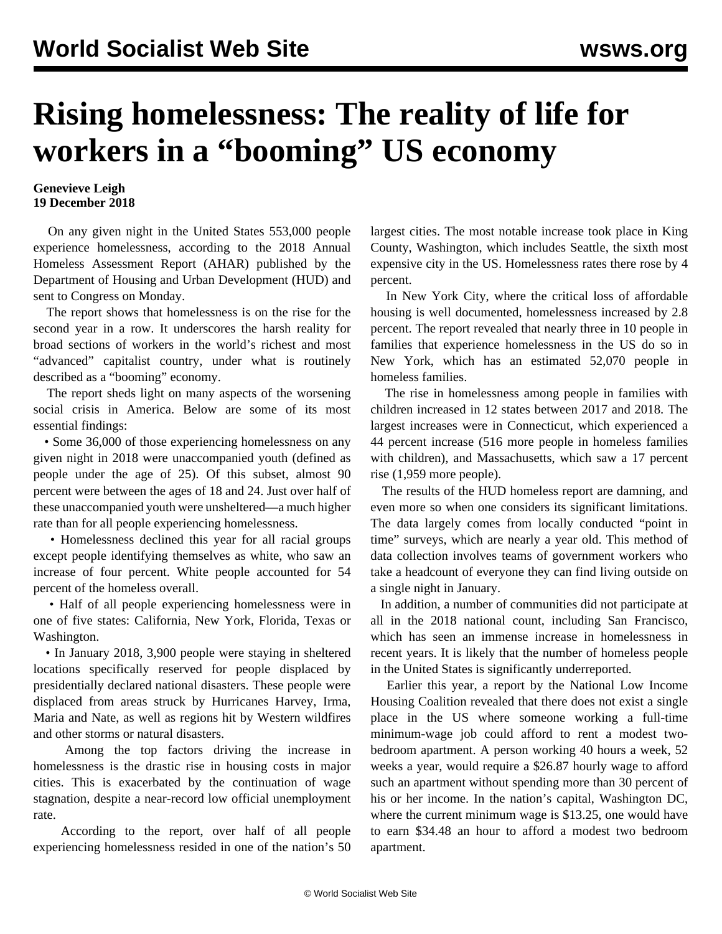## **Rising homelessness: The reality of life for workers in a "booming" US economy**

## **Genevieve Leigh 19 December 2018**

 On any given night in the United States 553,000 people experience homelessness, according to the 2018 Annual Homeless Assessment Report (AHAR) published by the Department of Housing and Urban Development (HUD) and sent to Congress on Monday.

 The report shows that homelessness is on the rise for the second year in a row. It underscores the harsh reality for broad sections of workers in the world's richest and most "advanced" capitalist country, under what is routinely described as a "booming" economy.

 The report sheds light on many aspects of the worsening social crisis in America. Below are some of its most essential findings:

 • Some 36,000 of those experiencing homelessness on any given night in 2018 were unaccompanied youth (defined as people under the age of 25). Of this subset, almost 90 percent were between the ages of 18 and 24. Just over half of these unaccompanied youth were unsheltered—a much higher rate than for all people experiencing homelessness.

 • Homelessness declined this year for all racial groups except people identifying themselves as white, who saw an increase of four percent. White people accounted for 54 percent of the homeless overall.

 • Half of all people experiencing homelessness were in one of five states: California, New York, Florida, Texas or Washington.

 • In January 2018, 3,900 people were staying in sheltered locations specifically reserved for people displaced by presidentially declared national disasters. These people were displaced from areas struck by Hurricanes Harvey, Irma, Maria and Nate, as well as regions hit by Western wildfires and other storms or natural disasters.

 Among the top factors driving the increase in homelessness is the drastic rise in housing costs in major cities. This is exacerbated by the continuation of wage stagnation, despite a near-record low official unemployment rate.

 According to the report, over half of all people experiencing homelessness resided in one of the nation's 50 largest cities. The most notable increase took place in King County, Washington, which includes Seattle, the sixth most expensive city in the US. Homelessness rates there rose by 4 percent.

 In New York City, where the critical [loss](/en/articles/2018/12/07/hous-d07.html) [of](/en/articles/2018/12/07/hous-d07.html) [affordable](/en/articles/2018/12/07/hous-d07.html) [housing](/en/articles/2018/12/07/hous-d07.html) is well documented, homelessness increased by 2.8 percent. The report revealed that nearly three in 10 people in families that experience homelessness in the US do so in New York, which has an estimated 52,070 people in homeless families.

 The rise in homelessness among people in families with children increased in 12 states between 2017 and 2018. The largest increases were in Connecticut, which experienced a 44 percent increase (516 more people in homeless families with children), and Massachusetts, which saw a 17 percent rise (1,959 more people).

 The results of the HUD homeless report are damning, and even more so when one considers its significant limitations. The data largely comes from locally conducted "point in time" surveys, which are nearly a year old. This method of data collection involves teams of government workers who take a headcount of everyone they can find living outside on a single night in January.

 In addition, a number of communities did not participate at all in the 2018 national count, including San Francisco, which has seen an immense increase in homelessness in recent years. It is likely that the number of homeless people in the United States is significantly underreported.

 Earlier this year, a report by the National Low Income Housing Coalition revealed that there does not exist a single place in the US where someone working a full-time minimum-wage job could afford to rent a modest twobedroom apartment. A person working 40 hours a week, 52 weeks a year, would require a \$26.87 hourly wage to afford such an apartment without spending more than 30 percent of his or her income. In the nation's capital, Washington DC, where the current minimum wage is \$13.25, one would have to earn \$34.48 an hour to afford a modest two bedroom apartment.